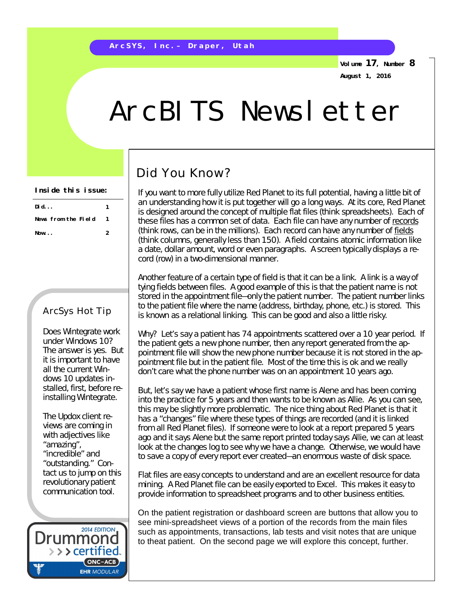**Volume 17, Number 8 August 1, 2016**

# ArcBITS Newsletter

## Did You Know?

If you want to more fully utilize Red Planet to its full potential, having a little bit of an understanding how it is put together will go a long ways. At its core, Red Planet is designed around the concept of multiple flat files (think spreadsheets). Each of these files has a common set of data. Each file can have any number of records (think rows, can be in the millions). Each record can have any number of fields (think columns, generally less than 150). A field contains atomic information like a date, dollar amount, word or even paragraphs. A screen typically displays a record (row) in a two-dimensional manner.

Another feature of a certain type of field is that it can be a link. A link is a way of tying fields between files. A good example of this is that the patient name is not stored in the appointment file—only the patient number. The patient number links to the patient file where the name (address, birthday, phone, etc.) is stored. This is known as a relational linking. This can be good and also a little risky.

Why? Let's say a patient has 74 appointments scattered over a 10 year period. If the patient gets a new phone number, then any report generated from the appointment file will show the *new* phone number because it is not stored in the appointment file but in the patient file. Most of the time this is ok and we really don't care what the phone number was on an appointment 10 years ago.

But, let's say we have a patient whose first name is Alene and has been coming into the practice for 5 years and then wants to be known as Allie. As you can see, this may be slightly more problematic. The nice thing about Red Planet is that it has a "changes" file where these types of things are recorded (and it is linked from all Red Planet files). If someone were to look at a report *prepared* 5 years ago and it says Alene but the same report printed *today* says Allie, we can at least look at the changes log to see why we have a change. Otherwise, we would have to save a copy of every report ever created—an enormous waste of disk space.

Flat files are easy concepts to understand and are an excellent resource for data mining. A Red Planet file can be easily exported to Excel. This makes it easy to provide information to spreadsheet programs and to other business entities.

On the patient registration or dashboard screen are buttons that allow you to see mini-spreadsheet views of a portion of the records from the main files such as appointments, transactions, lab tests and visit notes that are unique to theat patient. On the second page we will explore this concept, further.

#### **Did... 1 News from the Field 1 Now... 2 Inside this issue:**

#### ArcSys Hot Tip

Does Wintegrate work under Windows 10? The answer is yes. But it is important to have all the current Windows 10 updates installed, first, before *reinstalling* Wintegrate.

The Updox client reviews are coming in with adjectives like "amazing", "incredible" and "outstanding." Contact us to jump on this revolutionary patient communication tool.

**2014 EDITION** Drummor > > > certified.  $(ONC-ACB)$ **EHR MODULAR**